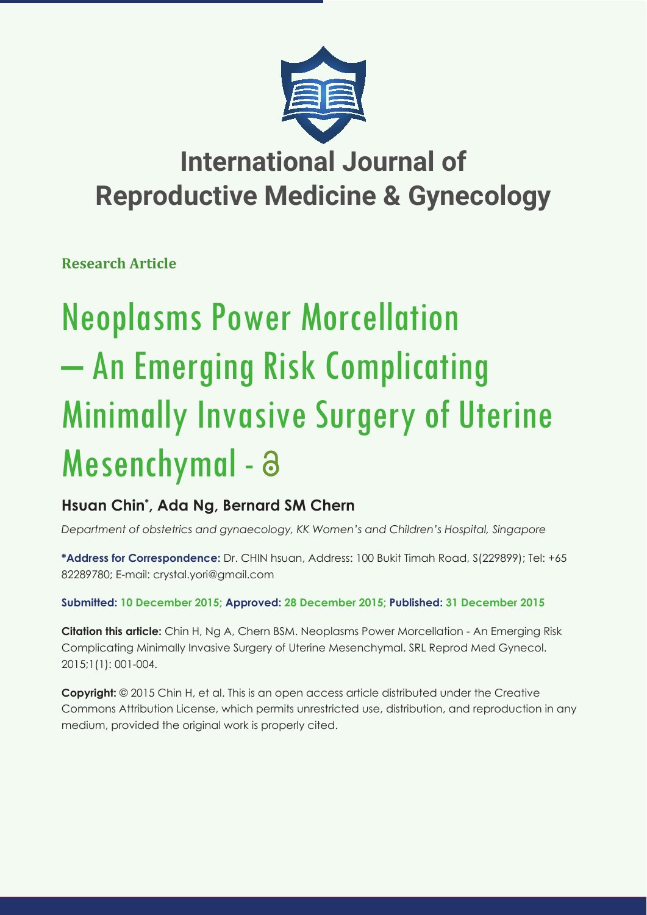

## **International Journal of Reproductive Medicine & Gynecology**

**Research Article**

# Neoplasms Power Morcellation – An Emerging Risk Complicating Minimally Invasive Surgery of Uterine Mesenchymal - a

### **Hsuan Chin\* , Ada Ng, Bernard SM Chern**

*Department of obstetrics and gynaecology, KK Women's and Children's Hospital, Singapore*

**\*Address for Correspondence:** Dr. CHIN hsuan, Address: 100 Bukit Timah Road, S(229899); Tel: +65 82289780; E-mail: crystal.yori@gmail.com

**Submitted: 10 December 2015; Approved: 28 December 2015; Published: 31 December 2015**

**Citation this article:** Chin H, Ng A, Chern BSM. Neoplasms Power Morcellation - An Emerging Risk Complicating Minimally Invasive Surgery of Uterine Mesenchymal. SRL Reprod Med Gynecol. 2015;1(1): 001-004.

**Copyright:** © 2015 Chin H, et al. This is an open access article distributed under the Creative Commons Attribution License, which permits unrestricted use, distribution, and reproduction in any medium, provided the original work is properly cited.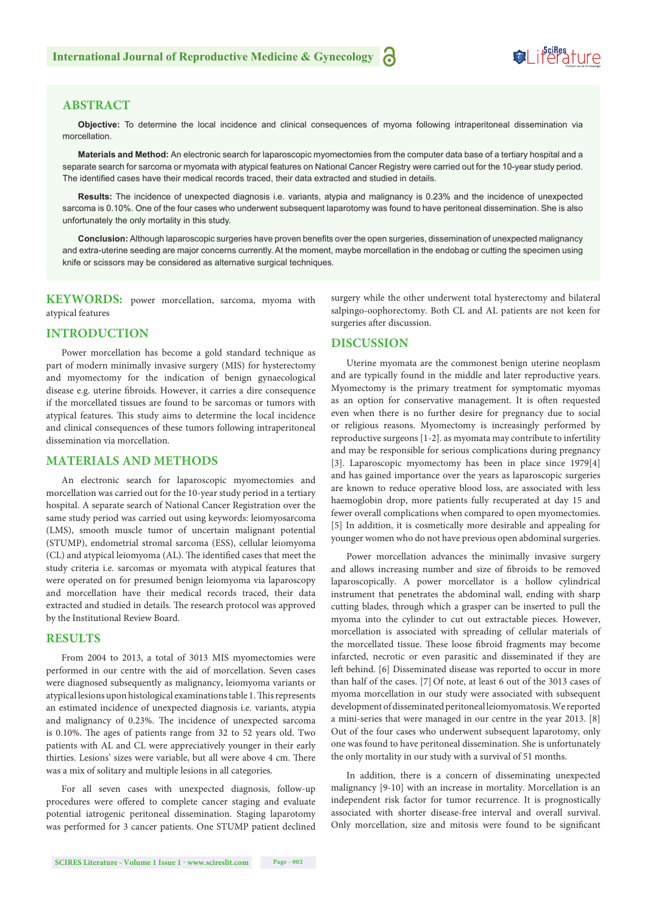#### **ABSTRACT**

**Objective:** To determine the local incidence and clinical consequences of myoma following intraperitoneal dissemination via morcellation.

**Materials and Method:** An electronic search for laparoscopic myomectomies from the computer data base of a tertiary hospital and a separate search for sarcoma or myomata with atypical features on National Cancer Registry were carried out for the 10-year study period. The identified cases have their medical records traced, their data extracted and studied in details.

**Results:** The incidence of unexpected diagnosis i.e. variants, atypia and malignancy is 0.23% and the incidence of unexpected sarcoma is 0.10%. One of the four cases who underwent subsequent laparotomy was found to have peritoneal dissemination. She is also unfortunately the only mortality in this study.

**Conclusion:** Although laparoscopic surgeries have proven benefits over the open surgeries, dissemination of unexpected malignancy and extra-uterine seeding are major concerns currently. At the moment, maybe morcellation in the endobag or cutting the specimen using knife or scissors may be considered as alternative surgical techniques.

 **KEYWORDS:** power morcellation, sarcoma, myoma with atypical features

#### **INTRODUCTION**

Power morcellation has become a gold standard technique as part of modern minimally invasive surgery (MIS) for hysterectomy and myomectomy for the indication of benign gynaecological disease e.g. uterine fibroids. However, it carries a dire consequence if the morcellated tissues are found to be sarcomas or tumors with atypical features. This study aims to determine the local incidence and clinical consequences of these tumors following intraperitoneal dissemination via morcellation.

#### **MATERIALS AND METHODS**

An electronic search for laparoscopic myomectomies and morcellation was carried out for the 10-year study period in a tertiary hospital. A separate search of National Cancer Registration over the same study period was carried out using keywords: leiomyosarcoma (LMS), smooth muscle tumor of uncertain malignant potential (STUMP), endometrial stromal sarcoma (ESS), cellular leiomyoma (CL) and atypical leiomyoma (AL). The identified cases that meet the study criteria i.e. sarcomas or myomata with atypical features that were operated on for presumed benign leiomyoma via laparoscopy and morcellation have their medical records traced, their data extracted and studied in details. The research protocol was approved by the Institutional Review Board.

#### **RESULTS**

From 2004 to 2013, a total of 3013 MIS myomectomies were performed in our centre with the aid of morcellation. Seven cases were diagnosed subsequently as malignancy, leiomyoma variants or atypical lesions upon histological examinations table 1. This represents an estimated incidence of unexpected diagnosis i.e. variants, atypia and malignancy of 0.23%. The incidence of unexpected sarcoma is 0.10%. The ages of patients range from 32 to 52 years old. Two patients with AL and CL were appreciatively younger in their early thirties. Lesions' sizes were variable, but all were above 4 cm. There was a mix of solitary and multiple lesions in all categories.

For all seven cases with unexpected diagnosis, follow-up procedures were offered to complete cancer staging and evaluate potential iatrogenic peritoneal dissemination. Staging laparotomy was performed for 3 cancer patients. One STUMP patient declined surgery while the other underwent total hysterectomy and bilateral salpingo-oophorectomy. Both CL and AL patients are not keen for surgeries after discussion.

#### **DISCUSSION**

Uterine myomata are the commonest benign uterine neoplasm and are typically found in the middle and later reproductive years. Myomectomy is the primary treatment for symptomatic myomas as an option for conservative management. It is often requested even when there is no further desire for pregnancy due to social or religious reasons. Myomectomy is increasingly performed by reproductive surgeons [1-2]. as myomata may contribute to infertility and may be responsible for serious complications during pregnancy [3]. Laparoscopic myomectomy has been in place since 1979[4] and has gained importance over the years as laparoscopic surgeries are known to reduce operative blood loss, are associated with less haemoglobin drop, more patients fully recuperated at day 15 and fewer overall complications when compared to open myomectomies. [5] In addition, it is cosmetically more desirable and appealing for younger women who do not have previous open abdominal surgeries.

Power morcellation advances the minimally invasive surgery and allows increasing number and size of fibroids to be removed laparoscopically. A power morcellator is a hollow cylindrical instrument that penetrates the abdominal wall, ending with sharp cutting blades, through which a grasper can be inserted to pull the myoma into the cylinder to cut out extractable pieces. However, morcellation is associated with spreading of cellular materials of the morcellated tissue. These loose fibroid fragments may become infarcted, necrotic or even parasitic and disseminated if they are left behind. [6] Disseminated disease was reported to occur in more than half of the cases. [7] Of note, at least 6 out of the 3013 cases of myoma morcellation in our study were associated with subsequent development of disseminated peritoneal leiomyomatosis. We reported a mini-series that were managed in our centre in the year 2013. [8] Out of the four cases who underwent subsequent laparotomy, only one was found to have peritoneal dissemination. She is unfortunately the only mortality in our study with a survival of 51 months.

In addition, there is a concern of disseminating unexpected malignancy [9-10] with an increase in mortality. Morcellation is an independent risk factor for tumor recurrence. It is prognostically associated with shorter disease-free interval and overall survival. Only morcellation, size and mitosis were found to be significant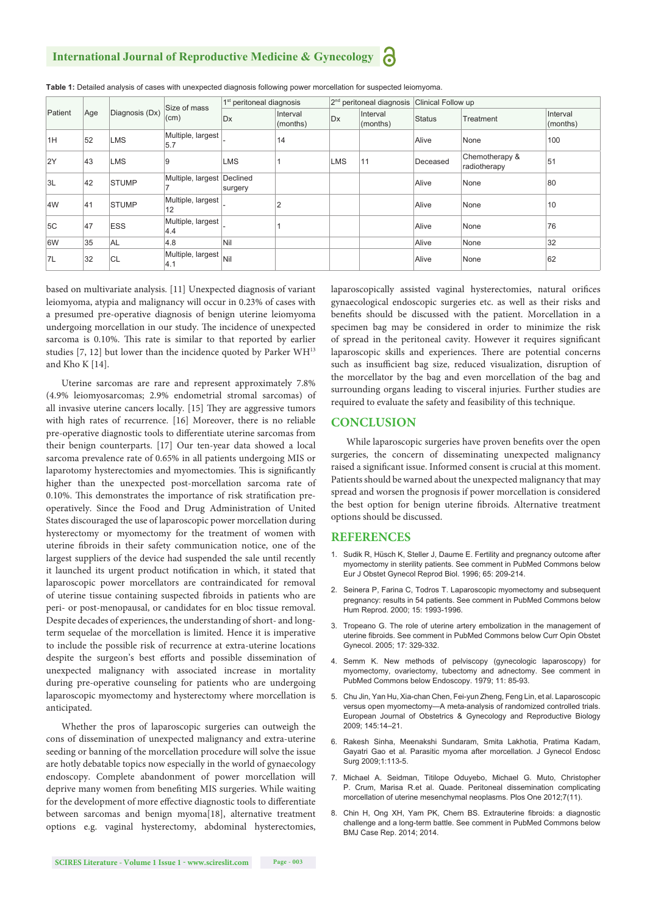#### **International Journal of Reproductive Medicine & Gynecology**

| Patient | Age | Diagnosis (Dx) | Size of mass<br>(cm)          | 1 <sup>st</sup> peritoneal diagnosis |                      | $2nd$ peritoneal diagnosis |                      | Clinical Follow up |                                |                          |
|---------|-----|----------------|-------------------------------|--------------------------------------|----------------------|----------------------------|----------------------|--------------------|--------------------------------|--------------------------|
|         |     |                |                               | Dx                                   | Interval<br>(months) | Dx                         | Interval<br>(months) | <b>Status</b>      | Treatment                      | Interval<br>$ $ (months) |
| 1H      | 52  | <b>LMS</b>     | Multiple, largest<br>5.7      |                                      | 14                   |                            |                      | Alive              | None                           | 100                      |
| 2Y      | 43  | <b>LMS</b>     | 9                             | <b>LMS</b>                           |                      | <b>LMS</b>                 | 11                   | Deceased           | Chemotherapy &<br>radiotherapy | 51                       |
| 3L      | 42  | <b>STUMP</b>   | Multiple, largest Declined    | surgery                              |                      |                            |                      | Alive              | None                           | 80                       |
| 4W      | 41  | <b>STUMP</b>   | Multiple, largest<br>12       |                                      | $\overline{2}$       |                            |                      | Alive              | None                           | 10                       |
| 5C      | 47  | <b>ESS</b>     | Multiple, largest<br>4.4      |                                      |                      |                            |                      | Alive              | None                           | 76                       |
| 6W      | 35  | <b>AL</b>      | 4.8                           | Nil                                  |                      |                            |                      | Alive              | None                           | 32                       |
| 7L      | 32  | <b>CL</b>      | Multiple, largest Nil<br> 4.1 |                                      |                      |                            |                      | Alive              | None                           | 62                       |

**Table 1:** Detailed analysis of cases with unexpected diagnosis following power morcellation for suspected leiomyoma.

based on multivariate analysis. [11] Unexpected diagnosis of variant leiomyoma, atypia and malignancy will occur in 0.23% of cases with a presumed pre-operative diagnosis of benign uterine leiomyoma undergoing morcellation in our study. The incidence of unexpected sarcoma is 0.10%. This rate is similar to that reported by earlier studies [7, 12] but lower than the incidence quoted by Parker WH13 and Kho K [14].

Uterine sarcomas are rare and represent approximately 7.8% (4.9% leiomyosarcomas; 2.9% endometrial stromal sarcomas) of all invasive uterine cancers locally. [15] They are aggressive tumors with high rates of recurrence. [16] Moreover, there is no reliable pre-operative diagnostic tools to differentiate uterine sarcomas from their benign counterparts. [17] Our ten-year data showed a local sarcoma prevalence rate of 0.65% in all patients undergoing MIS or laparotomy hysterectomies and myomectomies. This is significantly higher than the unexpected post-morcellation sarcoma rate of 0.10%. This demonstrates the importance of risk stratification preoperatively. Since the Food and Drug Administration of United States discouraged the use of laparoscopic power morcellation during hysterectomy or myomectomy for the treatment of women with uterine fibroids in their safety communication notice, one of the largest suppliers of the device had suspended the sale until recently it launched its urgent product notification in which, it stated that laparoscopic power morcellators are contraindicated for removal of uterine tissue containing suspected fibroids in patients who are peri- or post-menopausal, or candidates for en bloc tissue removal. Despite decades of experiences, the understanding of short- and longterm sequelae of the morcellation is limited. Hence it is imperative to include the possible risk of recurrence at extra-uterine locations despite the surgeon's best efforts and possible dissemination of unexpected malignancy with associated increase in mortality during pre-operative counseling for patients who are undergoing laparoscopic myomectomy and hysterectomy where morcellation is anticipated.

Whether the pros of laparoscopic surgeries can outweigh the cons of dissemination of unexpected malignancy and extra-uterine seeding or banning of the morcellation procedure will solve the issue are hotly debatable topics now especially in the world of gynaecology endoscopy. Complete abandonment of power morcellation will deprive many women from benefiting MIS surgeries. While waiting for the development of more effective diagnostic tools to differentiate between sarcomas and benign myoma[18], alternative treatment options e.g. vaginal hysterectomy, abdominal hysterectomies,

laparoscopically assisted vaginal hysterectomies, natural orifices gynaecological endoscopic surgeries etc. as well as their risks and benefits should be discussed with the patient. Morcellation in a specimen bag may be considered in order to minimize the risk of spread in the peritoneal cavity. However it requires significant laparoscopic skills and experiences. There are potential concerns such as insufficient bag size, reduced visualization, disruption of the morcellator by the bag and even morcellation of the bag and surrounding organs leading to visceral injuries. Further studies are required to evaluate the safety and feasibility of this technique.

#### **CONCLUSION**

While laparoscopic surgeries have proven benefits over the open surgeries, the concern of disseminating unexpected malignancy raised a significant issue. Informed consent is crucial at this moment. Patients should be warned about the unexpected malignancy that may spread and worsen the prognosis if power morcellation is considered the best option for benign uterine fibroids. Alternative treatment options should be discussed.

#### **REFERENCES**

- 1. Sudik R, Hüsch K, Steller J, Daume E. Fertility and pregnancy outcome after myomectomy in sterility patients. See comment in PubMed Commons below Eur J Obstet Gynecol Reprod Biol. 1996; 65: 209-214.
- 2. Seinera P, Farina C, Todros T. Laparoscopic myomectomy and subsequent pregnancy: results in 54 patients. See comment in PubMed Commons below Hum Reprod. 2000; 15: 1993-1996.
- 3. Tropeano G. The role of uterine artery embolization in the management of uterine fibroids. See comment in PubMed Commons below Curr Opin Obstet Gynecol. 2005; 17: 329-332.
- 4. Semm K. New methods of pelviscopy (gynecologic laparoscopy) for myomectomy, ovariectomy, tubectomy and adnectomy. See comment in PubMed Commons below Endoscopy. 1979; 11: 85-93.
- 5. Chu Jin, Yan Hu, Xia-chan Chen, Fei-yun Zheng, Feng Lin, et al. Laparoscopic versus open myomectomy—A meta-analysis of randomized controlled trials. European Journal of Obstetrics & Gynecology and Reproductive Biology 2009; 145:14–21.
- 6. Rakesh Sinha, Meenakshi Sundaram, Smita Lakhotia, Pratima Kadam, Gayatri Gao et al. Parasitic myoma after morcellation. J Gynecol Endosc Surg 2009;1:113-5.
- 7. Michael A. Seidman, Titilope Oduyebo, Michael G. Muto, Christopher P. Crum, Marisa R.et al. Quade. Peritoneal dissemination complicating morcellation of uterine mesenchymal neoplasms. Plos One 2012;7(11).
- 8. Chin H, Ong XH, Yam PK, Chern BS. Extrauterine fibroids: a diagnostic challenge and a long-term battle. See comment in PubMed Commons below BMJ Case Rep. 2014; 2014.